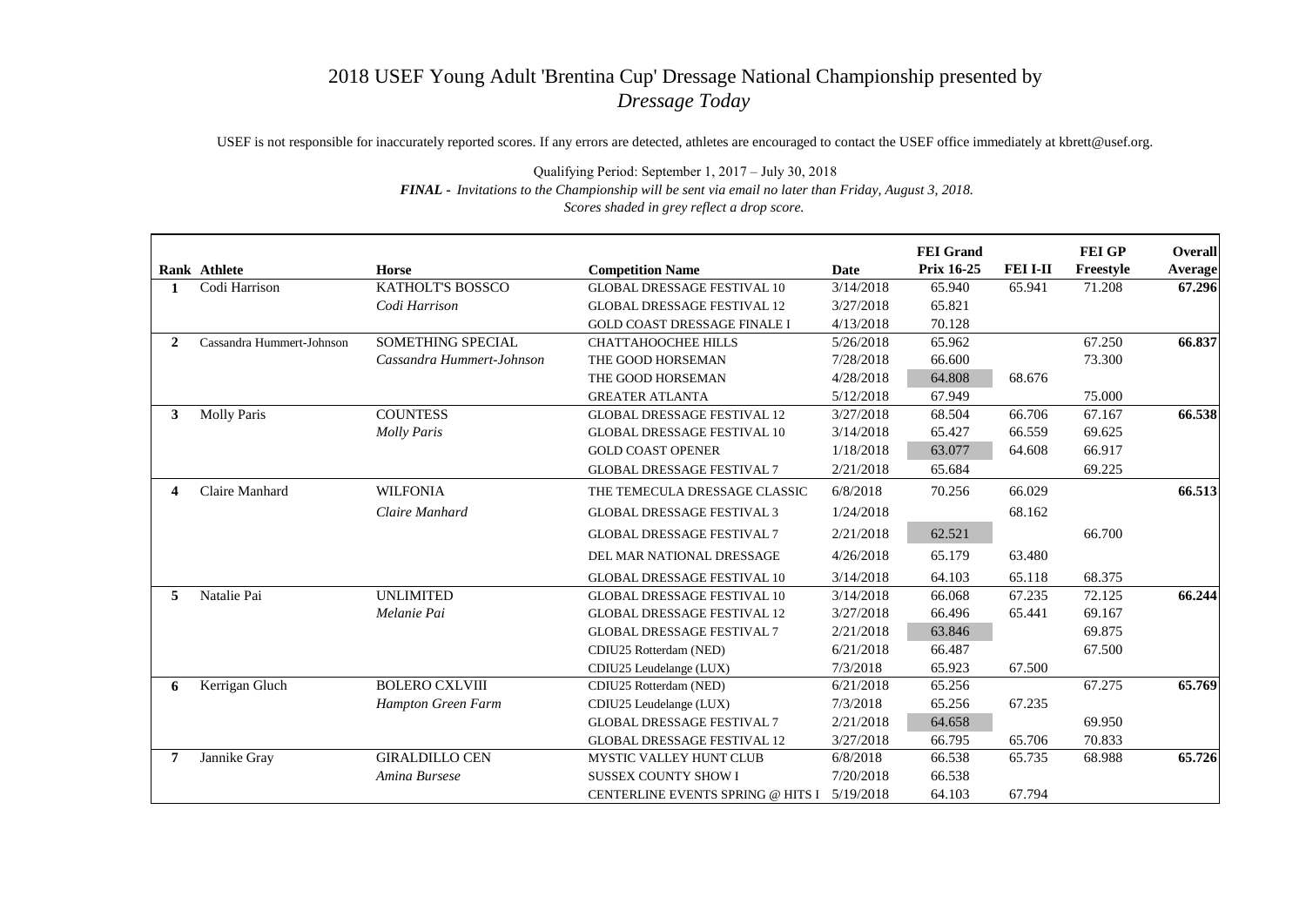## 2018 USEF Young Adult 'Brentina Cup' Dressage National Championship presented by *Dressage Today*

USEF is not responsible for inaccurately reported scores. If any errors are detected, athletes are encouraged to contact the USEF office immediately at kbrett@usef.org.

Qualifying Period: September 1, 2017 – July 30, 2018 *FINAL - Invitations to the Championship will be sent via email no later than Friday, August 3, 2018. Scores shaded in grey reflect a drop score.*

|                | Rank Athlete              | <b>Horse</b>              | <b>Competition Name</b>             | <b>Date</b> | <b>FEI</b> Grand<br><b>Prix 16-25</b> | <b>FEI I-II</b> | <b>FEI GP</b><br>Freestyle | <b>Overall</b><br><b>Average</b> |
|----------------|---------------------------|---------------------------|-------------------------------------|-------------|---------------------------------------|-----------------|----------------------------|----------------------------------|
|                | Codi Harrison             | <b>KATHOLT'S BOSSCO</b>   | <b>GLOBAL DRESSAGE FESTIVAL 10</b>  | 3/14/2018   | 65.940                                | 65.941          | 71.208                     | 67.296                           |
|                |                           | Codi Harrison             | <b>GLOBAL DRESSAGE FESTIVAL 12</b>  | 3/27/2018   | 65.821                                |                 |                            |                                  |
|                |                           |                           | <b>GOLD COAST DRESSAGE FINALE I</b> | 4/13/2018   | 70.128                                |                 |                            |                                  |
| $\overline{2}$ | Cassandra Hummert-Johnson | <b>SOMETHING SPECIAL</b>  | <b>CHATTAHOOCHEE HILLS</b>          | 5/26/2018   | 65.962                                |                 | 67.250                     | 66.837                           |
|                |                           | Cassandra Hummert-Johnson | THE GOOD HORSEMAN                   | 7/28/2018   | 66.600                                |                 | 73.300                     |                                  |
|                |                           |                           | THE GOOD HORSEMAN                   | 4/28/2018   | 64.808                                | 68.676          |                            |                                  |
|                |                           |                           | <b>GREATER ATLANTA</b>              | 5/12/2018   | 67.949                                |                 | 75.000                     |                                  |
| 3              | <b>Molly Paris</b>        | <b>COUNTESS</b>           | <b>GLOBAL DRESSAGE FESTIVAL 12</b>  | 3/27/2018   | 68.504                                | 66.706          | 67.167                     | 66.538                           |
|                |                           | <b>Molly Paris</b>        | <b>GLOBAL DRESSAGE FESTIVAL 10</b>  | 3/14/2018   | 65.427                                | 66.559          | 69.625                     |                                  |
|                |                           |                           | <b>GOLD COAST OPENER</b>            | 1/18/2018   | 63.077                                | 64.608          | 66.917                     |                                  |
|                |                           |                           | <b>GLOBAL DRESSAGE FESTIVAL 7</b>   | 2/21/2018   | 65.684                                |                 | 69.225                     |                                  |
| 4              | Claire Manhard            | <b>WILFONIA</b>           | THE TEMECULA DRESSAGE CLASSIC       | 6/8/2018    | 70.256                                | 66.029          |                            | 66.513                           |
|                |                           | Claire Manhard            | <b>GLOBAL DRESSAGE FESTIVAL 3</b>   | 1/24/2018   |                                       | 68.162          |                            |                                  |
|                |                           |                           | <b>GLOBAL DRESSAGE FESTIVAL 7</b>   | 2/21/2018   | 62.521                                |                 | 66.700                     |                                  |
|                |                           |                           | DEL MAR NATIONAL DRESSAGE           | 4/26/2018   | 65.179                                | 63.480          |                            |                                  |
|                |                           |                           | <b>GLOBAL DRESSAGE FESTIVAL 10</b>  | 3/14/2018   | 64.103                                | 65.118          | 68.375                     |                                  |
| 5              | Natalie Pai               | <b>UNLIMITED</b>          | <b>GLOBAL DRESSAGE FESTIVAL 10</b>  | 3/14/2018   | 66.068                                | 67.235          | 72.125                     | 66.244                           |
|                |                           | Melanie Pai               | <b>GLOBAL DRESSAGE FESTIVAL 12</b>  | 3/27/2018   | 66.496                                | 65.441          | 69.167                     |                                  |
|                |                           |                           | <b>GLOBAL DRESSAGE FESTIVAL 7</b>   | 2/21/2018   | 63.846                                |                 | 69.875                     |                                  |
|                |                           |                           | CDIU25 Rotterdam (NED)              | 6/21/2018   | 66.487                                |                 | 67.500                     |                                  |
|                |                           |                           | CDIU25 Leudelange (LUX)             | 7/3/2018    | 65.923                                | 67.500          |                            |                                  |
| 6              | Kerrigan Gluch            | <b>BOLERO CXLVIII</b>     | CDIU25 Rotterdam (NED)              | 6/21/2018   | 65.256                                |                 | 67.275                     | 65.769                           |
|                |                           | Hampton Green Farm        | CDIU25 Leudelange (LUX)             | 7/3/2018    | 65.256                                | 67.235          |                            |                                  |
|                |                           |                           | <b>GLOBAL DRESSAGE FESTIVAL 7</b>   | 2/21/2018   | 64.658                                |                 | 69.950                     |                                  |
|                |                           |                           | <b>GLOBAL DRESSAGE FESTIVAL 12</b>  | 3/27/2018   | 66.795                                | 65.706          | 70.833                     |                                  |
| 7              | Jannike Gray              | <b>GIRALDILLO CEN</b>     | MYSTIC VALLEY HUNT CLUB             | 6/8/2018    | 66.538                                | 65.735          | 68.988                     | 65.726                           |
|                |                           | Amina Bursese             | <b>SUSSEX COUNTY SHOW I</b>         | 7/20/2018   | 66.538                                |                 |                            |                                  |
|                |                           |                           | CENTERLINE EVENTS SPRING @ HITS I   | 5/19/2018   | 64.103                                | 67.794          |                            |                                  |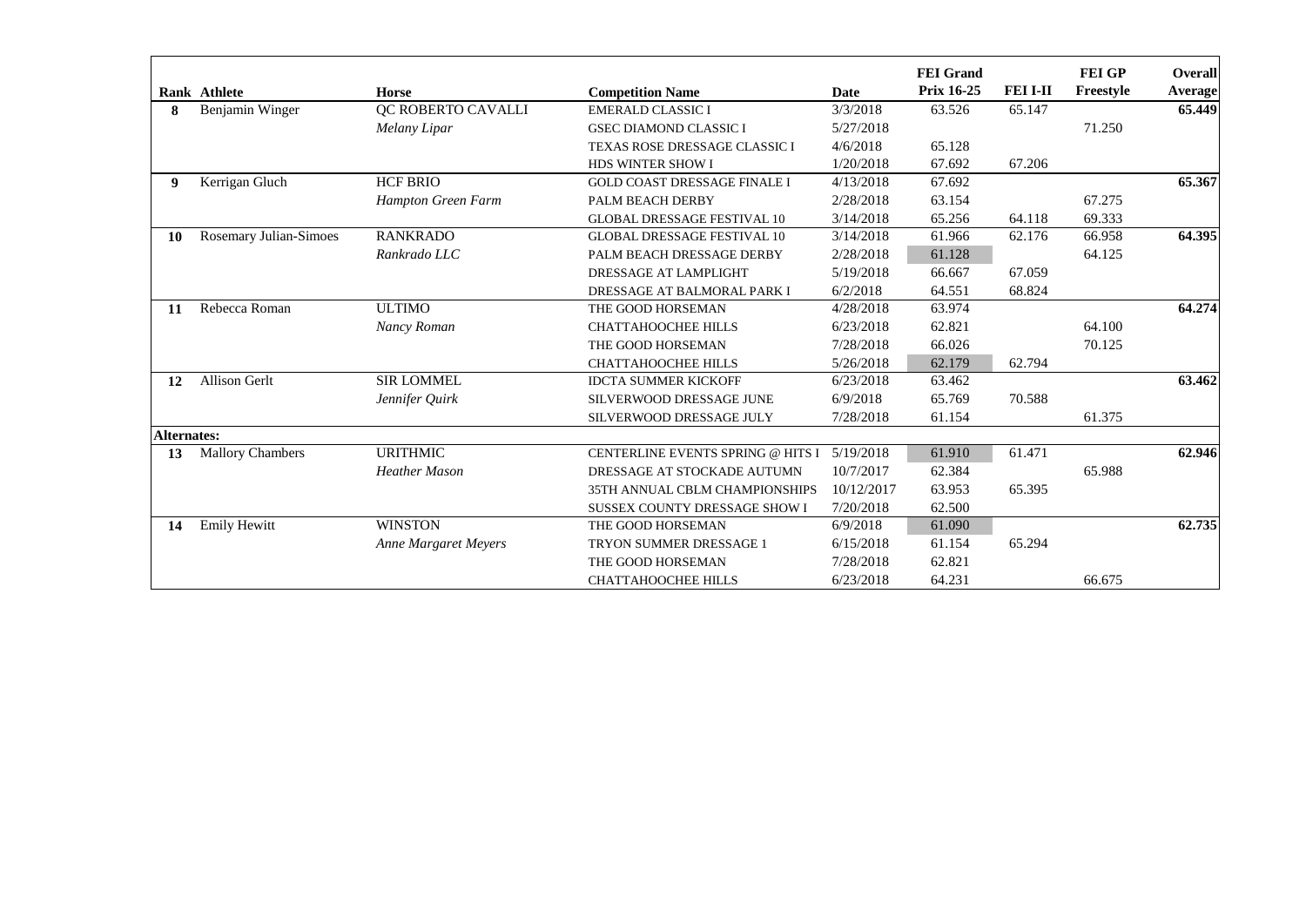|                    | Rank Athlete            | <b>Horse</b>                | <b>Competition Name</b>             | <b>Date</b> | <b>FEI</b> Grand<br><b>Prix 16-25</b> | <b>FEI I-II</b> | <b>FEI GP</b><br>Freestyle | <b>Overall</b><br><b>Average</b> |
|--------------------|-------------------------|-----------------------------|-------------------------------------|-------------|---------------------------------------|-----------------|----------------------------|----------------------------------|
| 8                  | Benjamin Winger         | QC ROBERTO CAVALLI          | <b>EMERALD CLASSIC I</b>            | 3/3/2018    | 63.526                                | 65.147          |                            | 65.449                           |
|                    |                         | Melany Lipar                | <b>GSEC DIAMOND CLASSIC I</b>       | 5/27/2018   |                                       |                 | 71.250                     |                                  |
|                    |                         |                             | TEXAS ROSE DRESSAGE CLASSIC I       | 4/6/2018    | 65.128                                |                 |                            |                                  |
|                    |                         |                             | HDS WINTER SHOW I                   | 1/20/2018   | 67.692                                | 67.206          |                            |                                  |
| 9                  | Kerrigan Gluch          | <b>HCF BRIO</b>             | <b>GOLD COAST DRESSAGE FINALE I</b> | 4/13/2018   | 67.692                                |                 |                            | 65.367                           |
|                    |                         | Hampton Green Farm          | PALM BEACH DERBY                    | 2/28/2018   | 63.154                                |                 | 67.275                     |                                  |
|                    |                         |                             | <b>GLOBAL DRESSAGE FESTIVAL 10</b>  | 3/14/2018   | 65.256                                | 64.118          | 69.333                     |                                  |
| <b>10</b>          | Rosemary Julian-Simoes  | <b>RANKRADO</b>             | <b>GLOBAL DRESSAGE FESTIVAL 10</b>  | 3/14/2018   | 61.966                                | 62.176          | 66.958                     | 64.395                           |
|                    |                         | Rankrado LLC                | PALM BEACH DRESSAGE DERBY           | 2/28/2018   | 61.128                                |                 | 64.125                     |                                  |
|                    |                         |                             | DRESSAGE AT LAMPLIGHT               | 5/19/2018   | 66.667                                | 67.059          |                            |                                  |
|                    |                         |                             | DRESSAGE AT BALMORAL PARK I         | 6/2/2018    | 64.551                                | 68.824          |                            |                                  |
| <b>11</b>          | Rebecca Roman           | <b>ULTIMO</b>               | THE GOOD HORSEMAN                   | 4/28/2018   | 63.974                                |                 |                            | 64.274                           |
|                    |                         | Nancy Roman                 | <b>CHATTAHOOCHEE HILLS</b>          | 6/23/2018   | 62.821                                |                 | 64.100                     |                                  |
|                    |                         |                             | THE GOOD HORSEMAN                   | 7/28/2018   | 66.026                                |                 | 70.125                     |                                  |
|                    |                         |                             | <b>CHATTAHOOCHEE HILLS</b>          | 5/26/2018   | 62.179                                | 62.794          |                            |                                  |
| 12                 | <b>Allison Gerlt</b>    | <b>SIR LOMMEL</b>           | <b>IDCTA SUMMER KICKOFF</b>         | 6/23/2018   | 63.462                                |                 |                            | 63.462                           |
|                    |                         | Jennifer Quirk              | SILVERWOOD DRESSAGE JUNE            | 6/9/2018    | 65.769                                | 70.588          |                            |                                  |
|                    |                         |                             | SILVERWOOD DRESSAGE JULY            | 7/28/2018   | 61.154                                |                 | 61.375                     |                                  |
| <b>Alternates:</b> |                         |                             |                                     |             |                                       |                 |                            |                                  |
| 13                 | <b>Mallory Chambers</b> | <b>URITHMIC</b>             | CENTERLINE EVENTS SPRING @ HITS I   | 5/19/2018   | 61.910                                | 61.471          |                            | 62.946                           |
|                    |                         | <b>Heather Mason</b>        | DRESSAGE AT STOCKADE AUTUMN         | 10/7/2017   | 62.384                                |                 | 65.988                     |                                  |
|                    |                         |                             | 35TH ANNUAL CBLM CHAMPIONSHIPS      | 10/12/2017  | 63.953                                | 65.395          |                            |                                  |
|                    |                         |                             | SUSSEX COUNTY DRESSAGE SHOW I       | 7/20/2018   | 62.500                                |                 |                            |                                  |
| 14                 | <b>Emily Hewitt</b>     | <b>WINSTON</b>              | THE GOOD HORSEMAN                   | 6/9/2018    | 61.090                                |                 |                            | 62.735                           |
|                    |                         | <b>Anne Margaret Meyers</b> | TRYON SUMMER DRESSAGE 1             | 6/15/2018   | 61.154                                | 65.294          |                            |                                  |
|                    |                         |                             | THE GOOD HORSEMAN                   | 7/28/2018   | 62.821                                |                 |                            |                                  |
|                    |                         |                             | <b>CHATTAHOOCHEE HILLS</b>          | 6/23/2018   | 64.231                                |                 | 66.675                     |                                  |